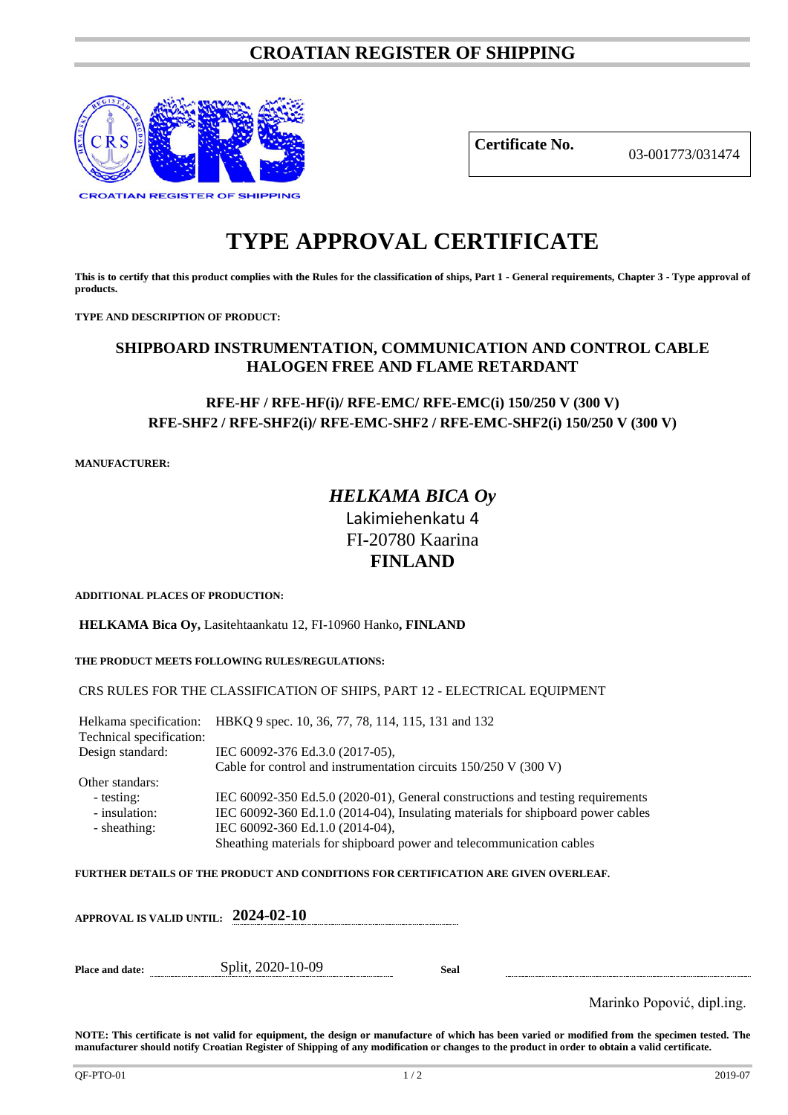# **CROATIAN REGISTER OF SHIPPING**



**Certificate No.** 03-001773/031474

# **TYPE APPROVAL CERTIFICATE**

**This is to certify that this product complies with the Rules for the classification of ships, Part 1 - General requirements, Chapter 3 - Type approval of products.**

**TYPE AND DESCRIPTION OF PRODUCT:** 

## **SHIPBOARD INSTRUMENTATION, COMMUNICATION AND CONTROL CABLE HALOGEN FREE AND FLAME RETARDANT**

## **RFE-HF / RFE-HF(i)/ RFE-EMC/ RFE-EMC(i) 150/250 V (300 V) RFE-SHF2 / RFE-SHF2(i)/ RFE-EMC-SHF2 / RFE-EMC-SHF2(i) 150/250 V (300 V)**

**MANUFACTURER:**

# *HELKAMA BICA Oy* Lakimiehenkatu 4 FI-20780 Kaarina **FINLAND**

**ADDITIONAL PLACES OF PRODUCTION:**

**HELKAMA Bica Oy,** Lasitehtaankatu 12, FI-10960 Hanko**, FINLAND**

#### **THE PRODUCT MEETS FOLLOWING RULES/REGULATIONS:**

#### CRS RULES FOR THE CLASSIFICATION OF SHIPS, PART 12 - ELECTRICAL EQUIPMENT

Helkama specification: HBKQ 9 spec. 10, 36, 77, 78, 114, 115, 131 and 132 Technical specification: Design standard: IEC 60092-376 Ed.3.0 (2017-05), Cable for control and instrumentation circuits 150/250 V (300 V) Other standars: - testing: IEC 60092-350 Ed.5.0 (2020-01), General constructions and testing requirements<br>- insulation: IEC 60092-360 Ed.1.0 (2014-04), Insulating materials for shipboard power cables IEC 60092-360 Ed.1.0 (2014-04), Insulating materials for shipboard power cables - sheathing: IEC 60092-360 Ed.1.0 (2014-04), Sheathing materials for shipboard power and telecommunication cables

**FURTHER DETAILS OF THE PRODUCT AND CONDITIONS FOR CERTIFICATION ARE GIVEN OVERLEAF.**

|                 | APPROVAL IS VALID UNTIL: $\,$ 2024-02-10 $\,$ |      |                            |
|-----------------|-----------------------------------------------|------|----------------------------|
| Place and date: | Split, 2020-10-09                             | Seal |                            |
|                 |                                               |      | Marinko Popović, dipl.ing. |

**NOTE: This certificate is not valid for equipment, the design or manufacture of which has been varied or modified from the specimen tested. The manufacturer should notify Croatian Register of Shipping of any modification or changes to the product in order to obtain a valid certificate.**